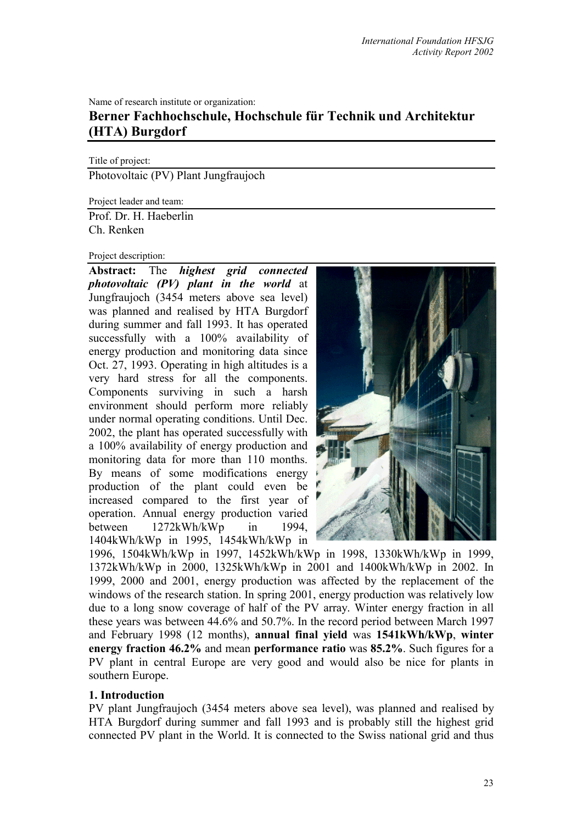Name of research institute or organization:

# **Berner Fachhochschule, Hochschule für Technik und Architektur (HTA) Burgdorf**

Title of project:

Photovoltaic (PV) Plant Jungfraujoch

Project leader and team:

Prof. Dr. H. Haeberlin Ch. Renken

#### Project description:

**Abstract:** The *highest grid connected photovoltaic (PV) plant in the world* at Jungfraujoch (3454 meters above sea level) was planned and realised by HTA Burgdorf during summer and fall 1993. It has operated successfully with a 100% availability of energy production and monitoring data since Oct. 27, 1993. Operating in high altitudes is a very hard stress for all the components. Components surviving in such a harsh environment should perform more reliably under normal operating conditions. Until Dec. 2002, the plant has operated successfully with a 100% availability of energy production and monitoring data for more than 110 months. By means of some modifications energy production of the plant could even be increased compared to the first year of operation. Annual energy production varied between 1272kWh/kWp in 1994, 1404kWh/kWp in 1995, 1454kWh/kWp in



1996, 1504kWh/kWp in 1997, 1452kWh/kWp in 1998, 1330kWh/kWp in 1999, 1372kWh/kWp in 2000, 1325kWh/kWp in 2001 and 1400kWh/kWp in 2002. In 1999, 2000 and 2001, energy production was affected by the replacement of the windows of the research station. In spring 2001, energy production was relatively low due to a long snow coverage of half of the PV array. Winter energy fraction in all these years was between 44.6% and 50.7%. In the record period between March 1997 and February 1998 (12 months), **annual final yield** was **1541kWh/kWp**, **winter energy fraction 46.2%** and mean **performance ratio** was **85.2%**. Such figures for a PV plant in central Europe are very good and would also be nice for plants in southern Europe.

#### **1. Introduction**

PV plant Jungfraujoch (3454 meters above sea level), was planned and realised by HTA Burgdorf during summer and fall 1993 and is probably still the highest grid connected PV plant in the World. It is connected to the Swiss national grid and thus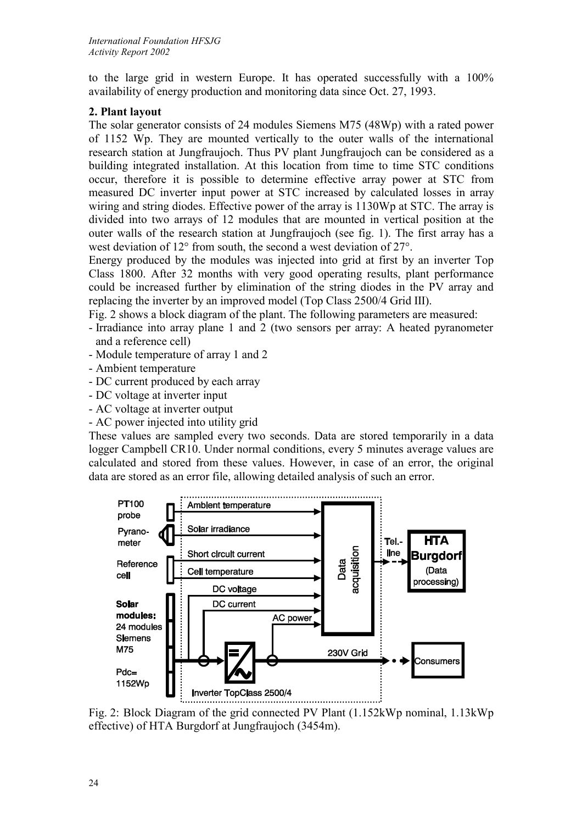to the large grid in western Europe. It has operated successfully with a 100% availability of energy production and monitoring data since Oct. 27, 1993.

#### **2. Plant layout**

The solar generator consists of 24 modules Siemens M75 (48Wp) with a rated power of 1152 Wp. They are mounted vertically to the outer walls of the international research station at Jungfraujoch. Thus PV plant Jungfraujoch can be considered as a building integrated installation. At this location from time to time STC conditions occur, therefore it is possible to determine effective array power at STC from measured DC inverter input power at STC increased by calculated losses in array wiring and string diodes. Effective power of the array is 1130Wp at STC. The array is divided into two arrays of 12 modules that are mounted in vertical position at the outer walls of the research station at Jungfraujoch (see fig. 1). The first array has a west deviation of 12° from south, the second a west deviation of 27°.

Energy produced by the modules was injected into grid at first by an inverter Top Class 1800. After 32 months with very good operating results, plant performance could be increased further by elimination of the string diodes in the PV array and replacing the inverter by an improved model (Top Class 2500/4 Grid III).

Fig. 2 shows a block diagram of the plant. The following parameters are measured:

- Irradiance into array plane 1 and 2 (two sensors per array: A heated pyranometer and a reference cell)
- Module temperature of array 1 and 2
- Ambient temperature
- DC current produced by each array
- DC voltage at inverter input
- AC voltage at inverter output
- AC power injected into utility grid

These values are sampled every two seconds. Data are stored temporarily in a data logger Campbell CR10. Under normal conditions, every 5 minutes average values are calculated and stored from these values. However, in case of an error, the original data are stored as an error file, allowing detailed analysis of such an error.



Fig. 2: Block Diagram of the grid connected PV Plant (1.152kWp nominal, 1.13kWp effective) of HTA Burgdorf at Jungfraujoch (3454m).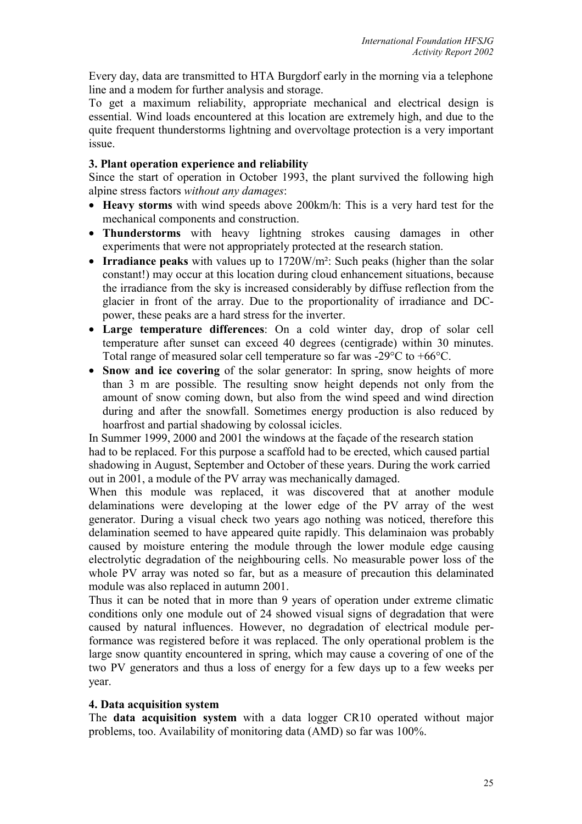Every day, data are transmitted to HTA Burgdorf early in the morning via a telephone line and a modem for further analysis and storage.

To get a maximum reliability, appropriate mechanical and electrical design is essential. Wind loads encountered at this location are extremely high, and due to the quite frequent thunderstorms lightning and overvoltage protection is a very important issue.

#### **3. Plant operation experience and reliability**

Since the start of operation in October 1993, the plant survived the following high alpine stress factors *without any damages*:

- **Heavy storms** with wind speeds above 200km/h: This is a very hard test for the mechanical components and construction.
- **Thunderstorms** with heavy lightning strokes causing damages in other experiments that were not appropriately protected at the research station.
- **Irradiance peaks** with values up to 1720W/m²: Such peaks (higher than the solar constant!) may occur at this location during cloud enhancement situations, because the irradiance from the sky is increased considerably by diffuse reflection from the glacier in front of the array. Due to the proportionality of irradiance and DCpower, these peaks are a hard stress for the inverter.
- **Large temperature differences**: On a cold winter day, drop of solar cell temperature after sunset can exceed 40 degrees (centigrade) within 30 minutes. Total range of measured solar cell temperature so far was -29°C to +66°C.
- **Snow and ice covering** of the solar generator: In spring, snow heights of more than 3 m are possible. The resulting snow height depends not only from the amount of snow coming down, but also from the wind speed and wind direction during and after the snowfall. Sometimes energy production is also reduced by hoarfrost and partial shadowing by colossal icicles.

In Summer 1999, 2000 and 2001 the windows at the façade of the research station had to be replaced. For this purpose a scaffold had to be erected, which caused partial shadowing in August, September and October of these years. During the work carried out in 2001, a module of the PV array was mechanically damaged.

When this module was replaced, it was discovered that at another module delaminations were developing at the lower edge of the PV array of the west generator. During a visual check two years ago nothing was noticed, therefore this delamination seemed to have appeared quite rapidly. This delaminaion was probably caused by moisture entering the module through the lower module edge causing electrolytic degradation of the neighbouring cells. No measurable power loss of the whole PV array was noted so far, but as a measure of precaution this delaminated module was also replaced in autumn 2001.

Thus it can be noted that in more than 9 years of operation under extreme climatic conditions only one module out of 24 showed visual signs of degradation that were caused by natural influences. However, no degradation of electrical module performance was registered before it was replaced. The only operational problem is the large snow quantity encountered in spring, which may cause a covering of one of the two PV generators and thus a loss of energy for a few days up to a few weeks per year.

#### **4. Data acquisition system**

The **data acquisition system** with a data logger CR10 operated without major problems, too. Availability of monitoring data (AMD) so far was 100%.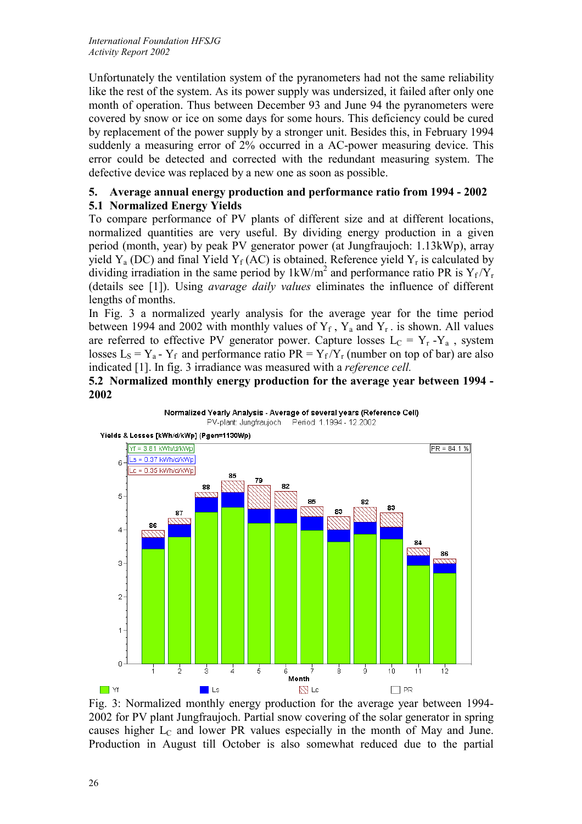Unfortunately the ventilation system of the pyranometers had not the same reliability like the rest of the system. As its power supply was undersized, it failed after only one month of operation. Thus between December 93 and June 94 the pyranometers were covered by snow or ice on some days for some hours. This deficiency could be cured by replacement of the power supply by a stronger unit. Besides this, in February 1994 suddenly a measuring error of 2% occurred in a AC-power measuring device. This error could be detected and corrected with the redundant measuring system. The defective device was replaced by a new one as soon as possible.

#### **5. Average annual energy production and performance ratio from 1994 - 2002 5.1 Normalized Energy Yields**

To compare performance of PV plants of different size and at different locations, normalized quantities are very useful. By dividing energy production in a given period (month, year) by peak PV generator power (at Jungfraujoch: 1.13kWp), array yield Y<sub>a</sub> (DC) and final Yield Y<sub>f</sub> (AC) is obtained. Reference yield Y<sub>r</sub> is calculated by dividing irradiation in the same period by  $1kW/m^2$  and performance ratio PR is  $Y_f/Y_f$ (details see [1]). Using *avarage daily values* eliminates the influence of different lengths of months.

In Fig. 3 a normalized yearly analysis for the average year for the time period between 1994 and 2002 with monthly values of  $Y_f$ ,  $Y_a$  and  $Y_r$ . is shown. All values are referred to effective PV generator power. Capture losses  $L_C = Y_r - Y_a$ , system losses L<sub>S</sub> = Y<sub>a</sub> - Y<sub>f</sub> and performance ratio PR = Y<sub>f</sub>/Y<sub>r</sub> (number on top of bar) are also indicated [1]. In fig. 3 irradiance was measured with a *reference cell.*

**5.2 Normalized monthly energy production for the average year between 1994 - 2002** 

Normalized Yearly Analysis - Average of several years (Reference Cell)



Fig. 3: Normalized monthly energy production for the average year between 1994- 2002 for PV plant Jungfraujoch. Partial snow covering of the solar generator in spring causes higher  $L<sub>C</sub>$  and lower PR values especially in the month of May and June. Production in August till October is also somewhat reduced due to the partial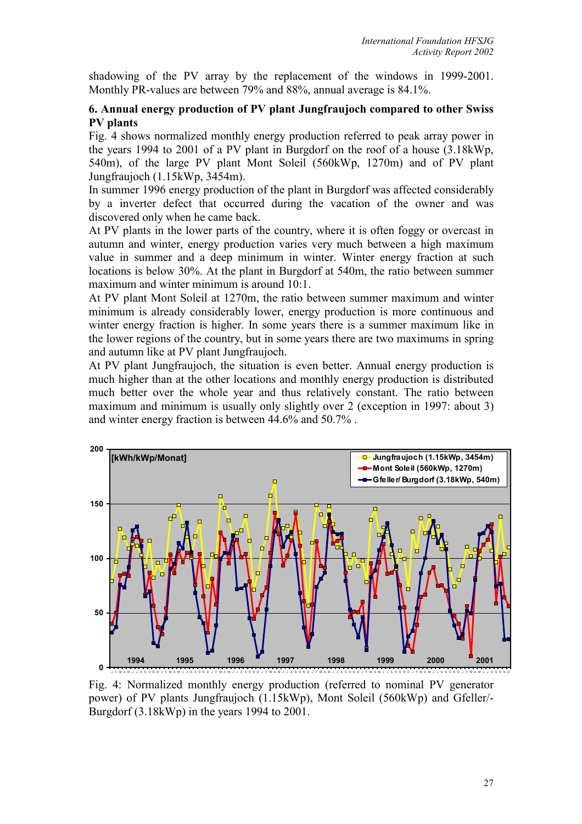shadowing of the PV array by the replacement of the windows in 1999-2001. Monthly PR-values are between 79% and 88%, annual average is 84.1%.

#### **6. Annual energy production of PV plant Jungfraujoch compared to other Swiss PV plants**

Fig. 4 shows normalized monthly energy production referred to peak array power in the years 1994 to 2001 of a PV plant in Burgdorf on the roof of a house (3.18kWp, 540m), of the large PV plant Mont Soleil (560kWp, 1270m) and of PV plant Jungfraujoch (1.15kWp, 3454m).

In summer 1996 energy production of the plant in Burgdorf was affected considerably by a inverter defect that occurred during the vacation of the owner and was discovered only when he came back.

At PV plants in the lower parts of the country, where it is often foggy or overcast in autumn and winter, energy production varies very much between a high maximum value in summer and a deep minimum in winter. Winter energy fraction at such locations is below 30%. At the plant in Burgdorf at 540m, the ratio between summer maximum and winter minimum is around 10:1.

At PV plant Mont Soleil at 1270m, the ratio between summer maximum and winter minimum is already considerably lower, energy production is more continuous and winter energy fraction is higher. In some years there is a summer maximum like in the lower regions of the country, but in some years there are two maximums in spring and autumn like at PV plant Jungfraujoch.

At PV plant Jungfraujoch, the situation is even better. Annual energy production is much higher than at the other locations and monthly energy production is distributed much better over the whole year and thus relatively constant. The ratio between maximum and minimum is usually only slightly over 2 (exception in 1997: about 3) and winter energy fraction is between 44.6% and 50.7% .



Fig. 4: Normalized monthly energy production (referred to nominal PV generator power) of PV plants Jungfraujoch (1.15kWp), Mont Soleil (560kWp) and Gfeller/- Burgdorf (3.18kWp) in the years 1994 to 2001.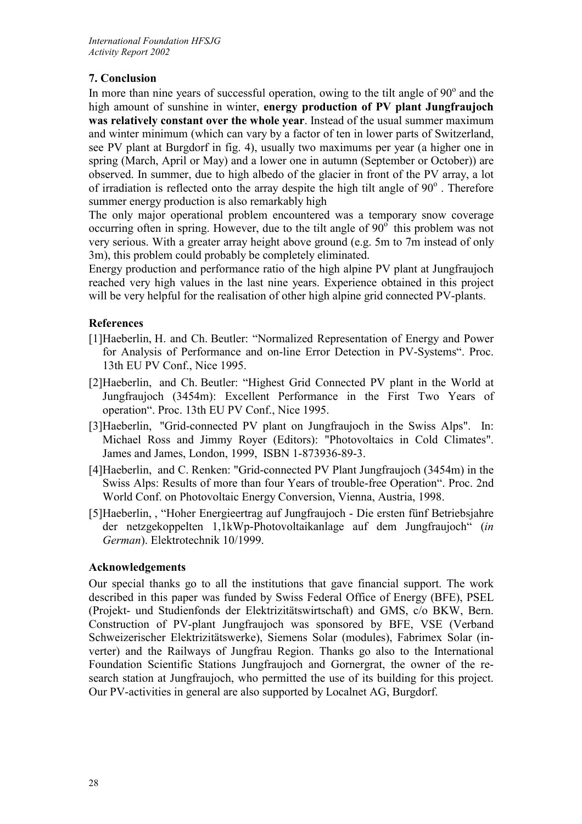## **7. Conclusion**

In more than nine years of successful operation, owing to the tilt angle of  $90^\circ$  and the high amount of sunshine in winter, **energy production of PV plant Jungfraujoch was relatively constant over the whole year**. Instead of the usual summer maximum and winter minimum (which can vary by a factor of ten in lower parts of Switzerland, see PV plant at Burgdorf in fig. 4), usually two maximums per year (a higher one in spring (March, April or May) and a lower one in autumn (September or October)) are observed. In summer, due to high albedo of the glacier in front of the PV array, a lot of irradiation is reflected onto the array despite the high tilt angle of  $90^\circ$ . Therefore summer energy production is also remarkably high

The only major operational problem encountered was a temporary snow coverage occurring often in spring. However, due to the tilt angle of  $90^\circ$  this problem was not very serious. With a greater array height above ground (e.g. 5m to 7m instead of only 3m), this problem could probably be completely eliminated.

Energy production and performance ratio of the high alpine PV plant at Jungfraujoch reached very high values in the last nine years. Experience obtained in this project will be very helpful for the realisation of other high alpine grid connected PV-plants.

### **References**

- [1]Haeberlin, H. and Ch. Beutler: "Normalized Representation of Energy and Power for Analysis of Performance and on-line Error Detection in PV-Systems". Proc. 13th EU PV Conf., Nice 1995.
- [2]Haeberlin, and Ch. Beutler: "Highest Grid Connected PV plant in the World at Jungfraujoch (3454m): Excellent Performance in the First Two Years of operation". Proc. 13th EU PV Conf., Nice 1995.
- [3]Haeberlin, "Grid-connected PV plant on Jungfraujoch in the Swiss Alps". In: Michael Ross and Jimmy Royer (Editors): "Photovoltaics in Cold Climates". James and James, London, 1999, ISBN 1-873936-89-3.
- [4]Haeberlin, and C. Renken: "Grid-connected PV Plant Jungfraujoch (3454m) in the Swiss Alps: Results of more than four Years of trouble-free Operation". Proc. 2nd World Conf. on Photovoltaic Energy Conversion, Vienna, Austria, 1998.
- [5]Haeberlin, , "Hoher Energieertrag auf Jungfraujoch Die ersten fünf Betriebsjahre der netzgekoppelten 1,1kWp-Photovoltaikanlage auf dem Jungfraujoch" (*in German*). Elektrotechnik 10/1999.

### **Acknowledgements**

Our special thanks go to all the institutions that gave financial support. The work described in this paper was funded by Swiss Federal Office of Energy (BFE), PSEL (Projekt- und Studienfonds der Elektrizitätswirtschaft) and GMS, c/o BKW, Bern. Construction of PV-plant Jungfraujoch was sponsored by BFE, VSE (Verband Schweizerischer Elektrizitätswerke), Siemens Solar (modules), Fabrimex Solar (inverter) and the Railways of Jungfrau Region. Thanks go also to the International Foundation Scientific Stations Jungfraujoch and Gornergrat, the owner of the research station at Jungfraujoch, who permitted the use of its building for this project. Our PV-activities in general are also supported by Localnet AG, Burgdorf.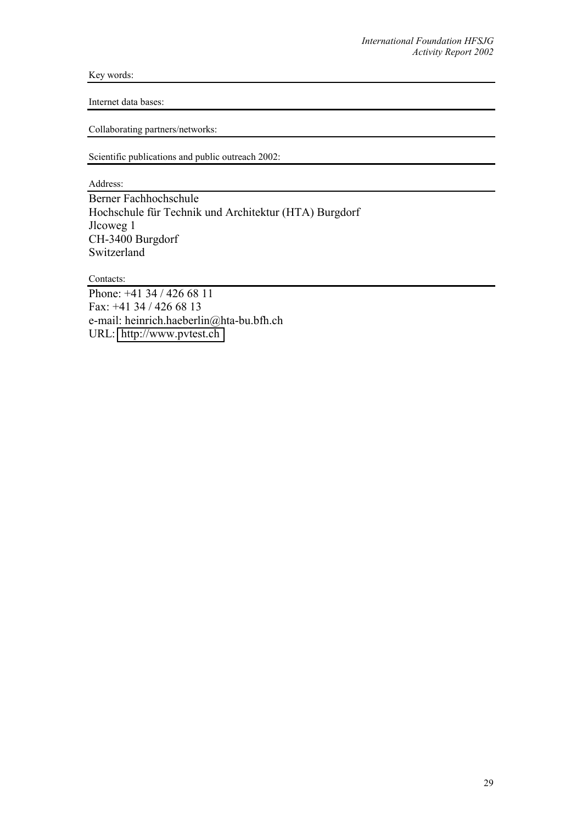Key words:

Internet data bases:

Collaborating partners/networks:

Scientific publications and public outreach 2002:

Address:

Berner Fachhochschule Hochschule für Technik und Architektur (HTA) Burgdorf Jlcoweg 1 CH-3400 Burgdorf Switzerland

Contacts:

Phone: +41 34 / 426 68 11 Fax: +41 34 / 426 68 13 e-mail: heinrich.haeberlin@hta-bu.bfh.ch URL: [http://www.pvtest.ch](http://www.pvtest.ch/)